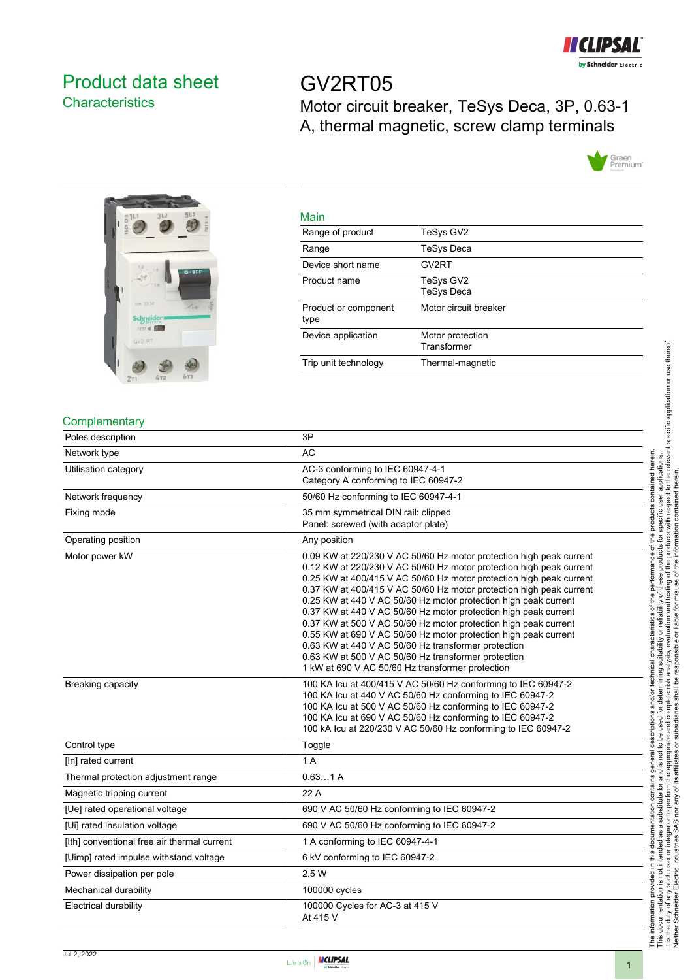

# <span id="page-0-0"></span>Product data sheet **Characteristics**

GV2RT05 Motor circuit breaker, TeSys Deca, 3P, 0.63-1 A, thermal magnetic, screw clamp terminals





| Main                         |                                 |
|------------------------------|---------------------------------|
| Range of product             | TeSys GV2                       |
| Range                        | <b>TeSys Deca</b>               |
| Device short name            | GV2RT                           |
| Product name                 | TeSys GV2<br><b>TeSys Deca</b>  |
| Product or component<br>type | Motor circuit breaker           |
| Device application           | Motor protection<br>Transformer |
| Trip unit technology         | Thermal-magnetic                |
|                              |                                 |

# **Complementary**

| Poles description                           | 3P                                                                                                                                                                                                                                                                                                                                                                                                                                                                                                                                                                                                                                                                                                                                     |
|---------------------------------------------|----------------------------------------------------------------------------------------------------------------------------------------------------------------------------------------------------------------------------------------------------------------------------------------------------------------------------------------------------------------------------------------------------------------------------------------------------------------------------------------------------------------------------------------------------------------------------------------------------------------------------------------------------------------------------------------------------------------------------------------|
| Network type                                | <b>AC</b>                                                                                                                                                                                                                                                                                                                                                                                                                                                                                                                                                                                                                                                                                                                              |
| Utilisation category                        | AC-3 conforming to IEC 60947-4-1<br>Category A conforming to IEC 60947-2                                                                                                                                                                                                                                                                                                                                                                                                                                                                                                                                                                                                                                                               |
| Network frequency                           | 50/60 Hz conforming to IEC 60947-4-1                                                                                                                                                                                                                                                                                                                                                                                                                                                                                                                                                                                                                                                                                                   |
| Fixing mode                                 | 35 mm symmetrical DIN rail: clipped<br>Panel: screwed (with adaptor plate)                                                                                                                                                                                                                                                                                                                                                                                                                                                                                                                                                                                                                                                             |
| Operating position                          | Any position                                                                                                                                                                                                                                                                                                                                                                                                                                                                                                                                                                                                                                                                                                                           |
| Motor power kW                              | 0.09 KW at 220/230 V AC 50/60 Hz motor protection high peak current<br>0.12 KW at 220/230 V AC 50/60 Hz motor protection high peak current<br>0.25 KW at 400/415 V AC 50/60 Hz motor protection high peak current<br>0.37 KW at 400/415 V AC 50/60 Hz motor protection high peak current<br>0.25 KW at 440 V AC 50/60 Hz motor protection high peak current<br>0.37 KW at 440 V AC 50/60 Hz motor protection high peak current<br>0.37 KW at 500 V AC 50/60 Hz motor protection high peak current<br>0.55 KW at 690 V AC 50/60 Hz motor protection high peak current<br>0.63 KW at 440 V AC 50/60 Hz transformer protection<br>0.63 KW at 500 V AC 50/60 Hz transformer protection<br>1 kW at 690 V AC 50/60 Hz transformer protection |
| <b>Breaking capacity</b>                    | 100 KA Icu at 400/415 V AC 50/60 Hz conforming to IEC 60947-2<br>100 KA Icu at 440 V AC 50/60 Hz conforming to IEC 60947-2<br>100 KA Icu at 500 V AC 50/60 Hz conforming to IEC 60947-2<br>100 KA Icu at 690 V AC 50/60 Hz conforming to IEC 60947-2<br>100 kA Icu at 220/230 V AC 50/60 Hz conforming to IEC 60947-2                                                                                                                                                                                                                                                                                                                                                                                                                  |
| Control type                                | Toggle                                                                                                                                                                                                                                                                                                                                                                                                                                                                                                                                                                                                                                                                                                                                 |
| [In] rated current                          | 1A                                                                                                                                                                                                                                                                                                                                                                                                                                                                                                                                                                                                                                                                                                                                     |
| Thermal protection adjustment range         | 0.631A                                                                                                                                                                                                                                                                                                                                                                                                                                                                                                                                                                                                                                                                                                                                 |
| Magnetic tripping current                   | 22 A                                                                                                                                                                                                                                                                                                                                                                                                                                                                                                                                                                                                                                                                                                                                   |
| [Ue] rated operational voltage              | 690 V AC 50/60 Hz conforming to IEC 60947-2                                                                                                                                                                                                                                                                                                                                                                                                                                                                                                                                                                                                                                                                                            |
| [Ui] rated insulation voltage               | 690 V AC 50/60 Hz conforming to IEC 60947-2                                                                                                                                                                                                                                                                                                                                                                                                                                                                                                                                                                                                                                                                                            |
| [Ith] conventional free air thermal current | 1 A conforming to IEC 60947-4-1                                                                                                                                                                                                                                                                                                                                                                                                                                                                                                                                                                                                                                                                                                        |
| [Uimp] rated impulse withstand voltage      | 6 kV conforming to IEC 60947-2                                                                                                                                                                                                                                                                                                                                                                                                                                                                                                                                                                                                                                                                                                         |
| Power dissipation per pole                  | 2.5W                                                                                                                                                                                                                                                                                                                                                                                                                                                                                                                                                                                                                                                                                                                                   |
| Mechanical durability                       | 100000 cycles                                                                                                                                                                                                                                                                                                                                                                                                                                                                                                                                                                                                                                                                                                                          |
| <b>Electrical durability</b>                | 100000 Cycles for AC-3 at 415 V<br>At 415 V                                                                                                                                                                                                                                                                                                                                                                                                                                                                                                                                                                                                                                                                                            |

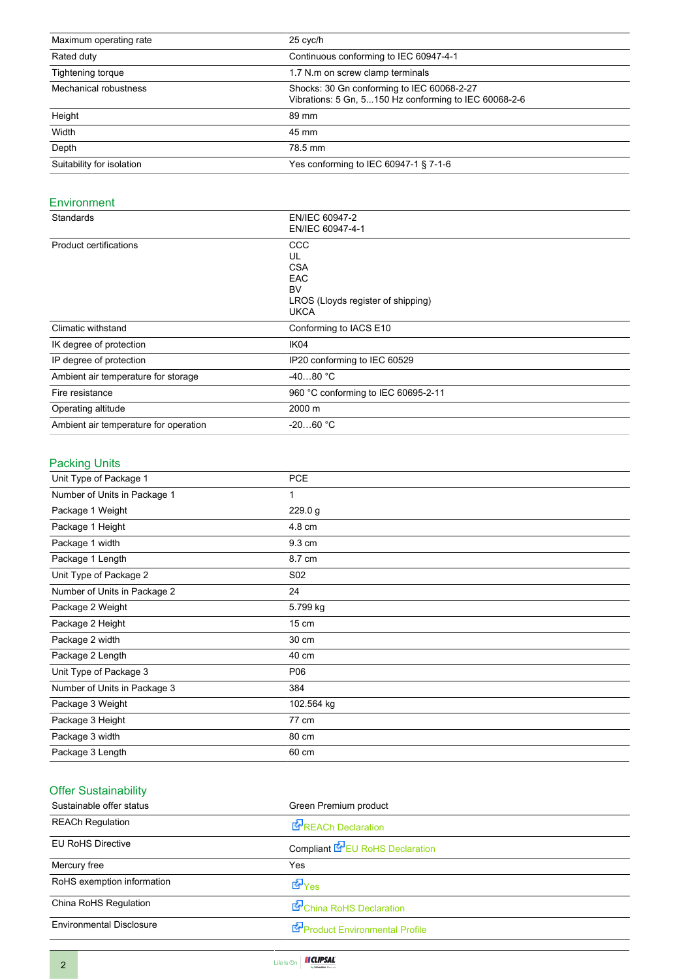| Maximum operating rate    | 25 cyc/h                                                                                            |  |
|---------------------------|-----------------------------------------------------------------------------------------------------|--|
| Rated duty                | Continuous conforming to IEC 60947-4-1                                                              |  |
| Tightening torque         | 1.7 N.m on screw clamp terminals                                                                    |  |
| Mechanical robustness     | Shocks: 30 Gn conforming to IEC 60068-2-27<br>Vibrations: 5 Gn, 5150 Hz conforming to IEC 60068-2-6 |  |
| Height                    | 89 mm                                                                                               |  |
| Width                     | 45 mm                                                                                               |  |
| Depth                     | 78.5 mm                                                                                             |  |
| Suitability for isolation | Yes conforming to IEC 60947-1 § 7-1-6                                                               |  |

### Environment

| Standards                             | EN/IEC 60947-2<br>EN/IEC 60947-4-1                                                               |
|---------------------------------------|--------------------------------------------------------------------------------------------------|
| <b>Product certifications</b>         | CCC<br>UL<br><b>CSA</b><br><b>EAC</b><br>BV<br>LROS (Lloyds register of shipping)<br><b>UKCA</b> |
| Climatic withstand                    | Conforming to IACS E10                                                                           |
| IK degree of protection               | IK04                                                                                             |
| IP degree of protection               | IP20 conforming to IEC 60529                                                                     |
| Ambient air temperature for storage   | $-4080 °C$                                                                                       |
| Fire resistance                       | 960 °C conforming to IEC 60695-2-11                                                              |
| Operating altitude                    | 2000 m                                                                                           |
| Ambient air temperature for operation | $-2060 °C$                                                                                       |

# Packing Units

| Unit Type of Package 1       | <b>PCE</b>      |
|------------------------------|-----------------|
| Number of Units in Package 1 | 1               |
| Package 1 Weight             | 229.0 g         |
| Package 1 Height             | 4.8 cm          |
| Package 1 width              | 9.3 cm          |
| Package 1 Length             | 8.7 cm          |
| Unit Type of Package 2       | S <sub>02</sub> |
| Number of Units in Package 2 | 24              |
| Package 2 Weight             | 5.799 kg        |
| Package 2 Height             | $15 \text{ cm}$ |
| Package 2 width              | 30 cm           |
| Package 2 Length             | 40 cm           |
| Unit Type of Package 3       | P06             |
| Number of Units in Package 3 | 384             |
| Package 3 Weight             | 102.564 kg      |
| Package 3 Height             | 77 cm           |
| Package 3 width              | 80 cm           |
| Package 3 Length             | 60 cm           |
|                              |                 |

# Offer Sustainability

| Sustainable offer status        | Green Premium product                  |
|---------------------------------|----------------------------------------|
| <b>REACh Regulation</b>         | <b>REACh Declaration</b>               |
| <b>EU RoHS Directive</b>        | Compliant <b>E</b> EU RoHS Declaration |
| Mercury free                    | Yes                                    |
| RoHS exemption information      | <b>E</b> Yes                           |
| China RoHS Regulation           | China RoHS Declaration                 |
| <b>Environmental Disclosure</b> | Product Environmental Profile          |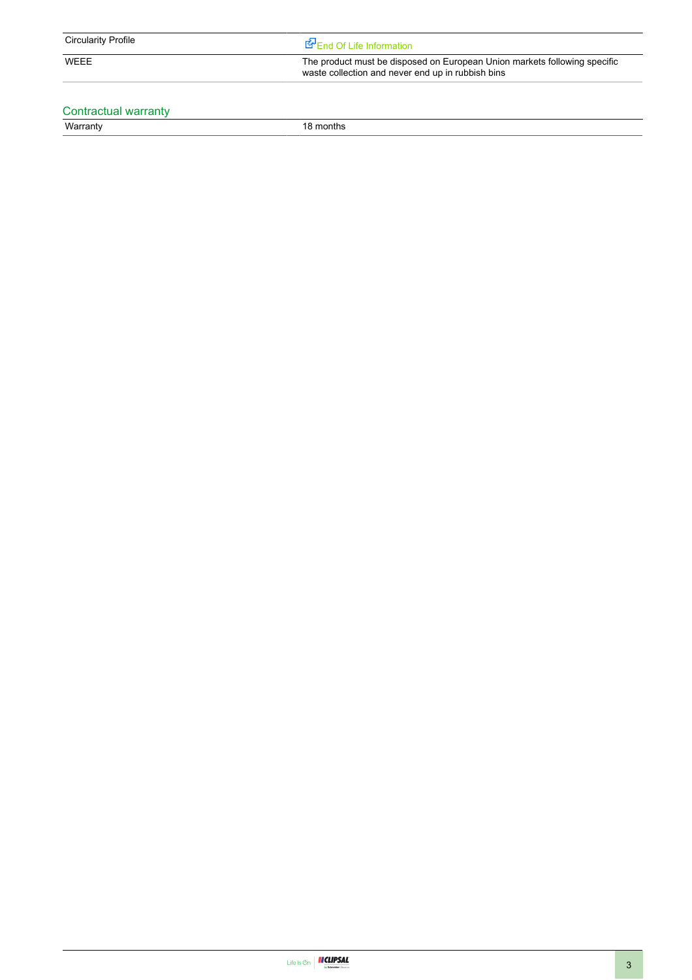| $\cdots$<br><b>Circularity</b><br>Profile |  |
|-------------------------------------------|--|
|                                           |  |

WEEE The product must be disposed on European Union markets following specific waste collection and never end up in rubbish bins

## Contractual warranty

Warranty 18 months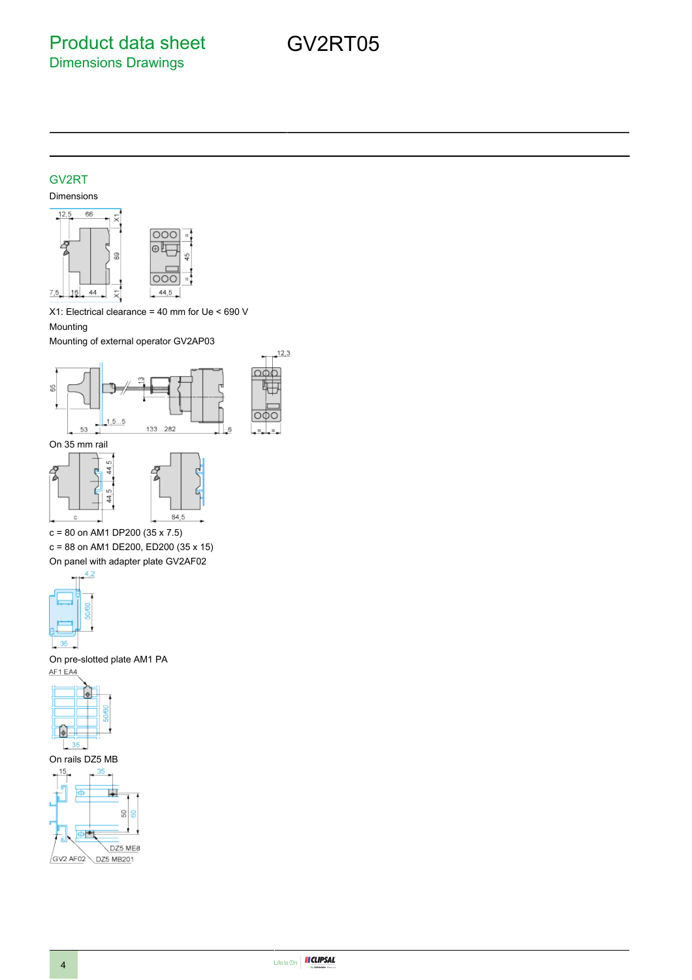GV2RT05

### GV2RT

### Dimensions



X1: Electrical clearance = 40 mm for Ue < 690 V Mounting

Mounting of external operator GV2AP03





c = 80 on AM1 DP200 (35 x 7.5)

c = 88 on AM1 DE200, ED200 (35 x 15) On panel with adapter plate GV2AF02



On pre-slotted plate AM1 PA AF1 EA4



On rails DZ5 MB